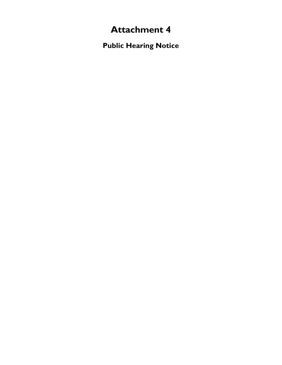## **Attachment 4**

**Public Hearing Notice**